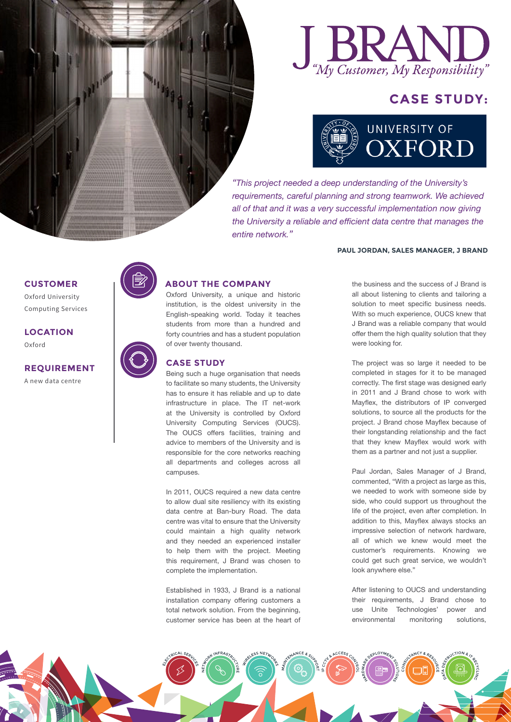

# **CASE STUDY:**



*"This project needed a deep understanding of the University's requirements, careful planning and strong teamwork. We achieved all of that and it was a very successful implementation now giving the University a reliable and efficient data centre that manages the entire network."*

were looking for.

#### **PAUL JORDAN, SALES MANAGER, J BRAND**

the business and the success of J Brand is all about listening to clients and tailoring a solution to meet specific business needs. With so much experience, OUCS knew that J Brand was a reliable company that would offer them the high quality solution that they

The project was so large it needed to be completed in stages for it to be managed correctly. The first stage was designed early in 2011 and J Brand chose to work with Mayflex, the distributors of IP converged solutions, to source all the products for the project. J Brand chose Mayflex because of their longstanding relationship and the fact that they knew Mayflex would work with them as a partner and not just a supplier.

Paul Jordan, Sales Manager of J Brand, commented, "With a project as large as this, we needed to work with someone side by side, who could support us throughout the life of the project, even after completion. In addition to this, Mayflex always stocks an impressive selection of network hardware, all of which we knew would meet the customer's requirements. Knowing we could get such great service, we wouldn't look anywhere else."

After listening to OUCS and understanding their requirements, J Brand chose to use Unite Technologies' power and environmental monitoring solutions,

## **CUSTOMER**

Oxford University Computing Services

**LOCATION** Oxford

**REQUIREMENT** A new data centre



## **ABOUT THE COMPANY**

Oxford University, a unique and historic institution, is the oldest university in the English-speaking world. Today it teaches students from more than a hundred and forty countries and has a student population of over twenty thousand.

### **CASE STUDY**

Being such a huge organisation that needs to facilitate so many students, the University has to ensure it has reliable and up to date infrastructure in place. The IT net-work at the University is controlled by Oxford University Computing Services (OUCS). The OUCS offers facilities, training and advice to members of the University and is responsible for the core networks reaching all departments and colleges across all campuses.

In 2011, OUCS required a new data centre to allow dual site resiliency with its existing data centre at Ban-bury Road. The data centre was vital to ensure that the University could maintain a high quality network and they needed an experienced installer to help them with the project. Meeting this requirement, J Brand was chosen to complete the implementation.

Established in 1933, J Brand is a national installation company offering customers a total network solution. From the beginning, customer service has been at the heart of